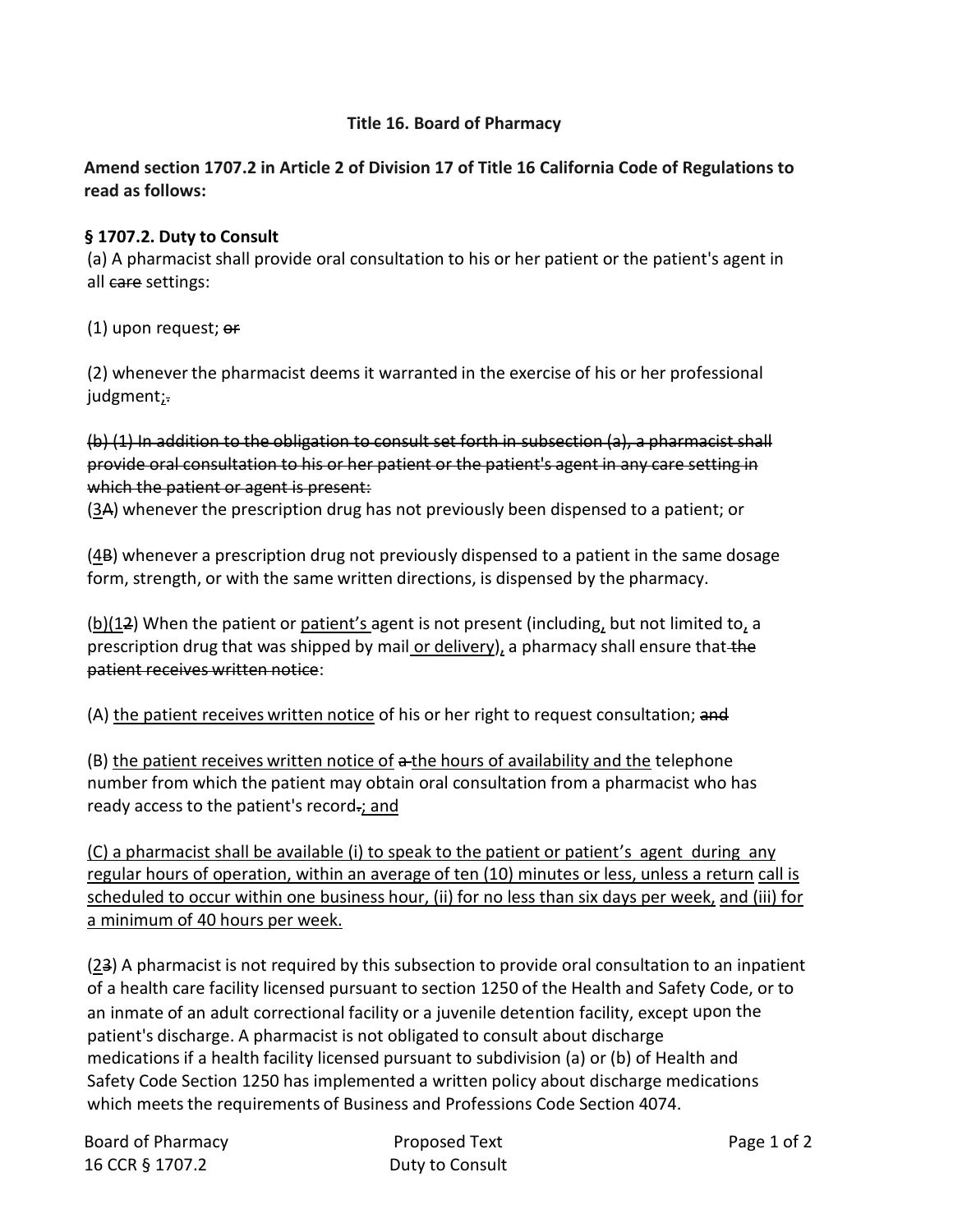## **Title 16. Board of Pharmacy**

## **Amend section 1707.2 in Article 2 of Division 17 of Title 16 California Code of Regulations to read as follows:**

## **§ 1707.2. Duty to Consult**

(a) A pharmacist shall provide oral consultation to his or her patient or the patient's agent in all care settings:

## $(1)$  upon request;  $er$

(2) whenever the pharmacist deems it warranted in the exercise of his or her professional judgment;-

(b) (1) In addition to the obligation to consult set forth in subsection (a), a pharmacist shall provide oral consultation to his or her patient or the patient's agent in any care setting in which the patient or agent is present:

 $(3A)$  whenever the prescription drug has not previously been dispensed to a patient; or

 $(4B)$  whenever a prescription drug not previously dispensed to a patient in the same dosage form, strength, or with the same written directions, is dispensed by the pharmacy.

 $\underline{b}(2)$  When the patient or <u>patient's</u> agent is not present (including, but not limited to, a prescription drug that was shipped by mail or delivery), a pharmacy shall ensure that the patient receives written notice:

(A) the patient receives written notice of his or her right to request consultation; and

(B) the patient receives written notice of a the hours of availability and the telephone number from which the patient may obtain oral consultation from a pharmacist who has ready access to the patient's record.; and

(C) a pharmacist shall be available (i) to speak to the patient or patient's agent during any regular hours of operation, within an average of ten (10) minutes or less, unless a return call is scheduled to occur within one business hour, (ii) for no less than six days per week, and (iii) for a minimum of 40 hours per week.

 $(23)$  A pharmacist is not required by this subsection to provide oral consultation to an inpatient of a health care facility licensed pursuant to section 1250 of the Health and Safety Code, or to an inmate of an adult correctional facility or a juvenile detention facility, except upon the patient's discharge. A pharmacist is not obligated to consult about discharge medications if a health facility licensed pursuant to subdivision (a) or (b) of Health and Safety Code Section 1250 has implemented a written policy about discharge medications which meets the requirements of Business and Professions Code Section 4074.

Board of Pharmacy **Proposed Text** Proposed Text **Page 1** of 2 16 CCR § 1707.2 Duty to Consult